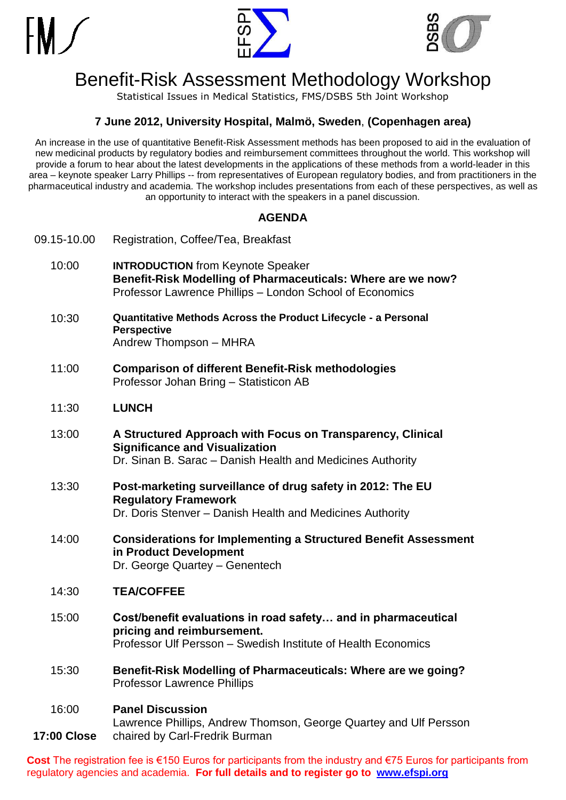





# Benefit-Risk Assessment Methodology Workshop

Statistical Issues in Medical Statistics, FMS/DSBS 5th Joint Workshop

#### **7 June 2012, University Hospital, Malmö, Sweden**, **(Copenhagen area)**

An increase in the use of quantitative Benefit-Risk Assessment methods has been proposed to aid in the evaluation of new medicinal products by regulatory bodies and reimbursement committees throughout the world. This workshop will provide a forum to hear about the latest developments in the applications of these methods from a world-leader in this area – keynote speaker Larry Phillips -- from representatives of European regulatory bodies, and from practitioners in the pharmaceutical industry and academia. The workshop includes presentations from each of these perspectives, as well as an opportunity to interact with the speakers in a panel discussion.

#### **AGENDA**

09.15-10.00 Registration, Coffee/Tea, Breakfast 10:00 **INTRODUCTION** from Keynote Speaker **Benefit-Risk Modelling of Pharmaceuticals: Where are we now?** Professor Lawrence Phillips – London School of Economics 10:30 **Quantitative Methods Across the Product Lifecycle - a Personal Perspective** Andrew Thompson – MHRA 11:00 **Comparison of different Benefit-Risk methodologies** Professor Johan Bring – Statisticon AB 11:30 **LUNCH** 13:00 **A Structured Approach with Focus on Transparency, Clinical Significance and Visualization** Dr. Sinan B. Sarac – Danish Health and Medicines Authority 13:30 **Post-marketing surveillance of drug safety in 2012: The EU Regulatory Framework** Dr. Doris Stenver – Danish Health and Medicines Authority 14:00 **Considerations for Implementing a Structured Benefit Assessment in Product Development** Dr. George Quartey – Genentech 14:30 **TEA/COFFEE** 15:00 **Cost/benefit evaluations in road safety… and in pharmaceutical pricing and reimbursement.** Professor Ulf Persson – Swedish Institute of Health Economics 15:30 **Benefit-Risk Modelling of Pharmaceuticals: Where are we going?** Professor Lawrence Phillips 16:00 **17:00 Close Panel Discussion** Lawrence Phillips, Andrew Thomson, George Quartey and Ulf Persson chaired by Carl-Fredrik Burman

**Cost** The registration fee is €150 Euros for participants from the industry and €75 Euros for participants from regulatory agencies and academia. **For full details and to register go to [www.efspi.org](http://www.efspi.org/)**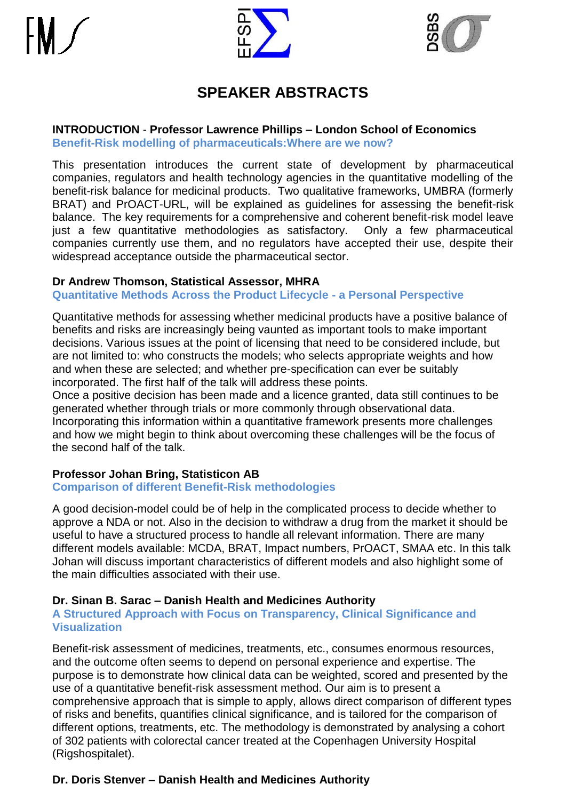



# **SPEAKER ABSTRACTS**

#### **INTRODUCTION** - **Professor Lawrence Phillips – London School of Economics Benefit-Risk modelling of pharmaceuticals:Where are we now?**

This presentation introduces the current state of development by pharmaceutical companies, regulators and health technology agencies in the quantitative modelling of the benefit-risk balance for medicinal products. Two qualitative frameworks, UMBRA (formerly BRAT) and PrOACT-URL, will be explained as guidelines for assessing the benefit-risk balance. The key requirements for a comprehensive and coherent benefit-risk model leave just a few quantitative methodologies as satisfactory. Only a few pharmaceutical companies currently use them, and no regulators have accepted their use, despite their widespread acceptance outside the pharmaceutical sector.

#### **Dr Andrew Thomson, Statistical Assessor, MHRA**

**Quantitative Methods Across the Product Lifecycle - a Personal Perspective**

Quantitative methods for assessing whether medicinal products have a positive balance of benefits and risks are increasingly being vaunted as important tools to make important decisions. Various issues at the point of licensing that need to be considered include, but are not limited to: who constructs the models; who selects appropriate weights and how and when these are selected; and whether pre-specification can ever be suitably incorporated. The first half of the talk will address these points.

Once a positive decision has been made and a licence granted, data still continues to be generated whether through trials or more commonly through observational data. Incorporating this information within a quantitative framework presents more challenges and how we might begin to think about overcoming these challenges will be the focus of the second half of the talk.

# **Professor Johan Bring, Statisticon AB**

#### **Comparison of different Benefit-Risk methodologies**

A good decision-model could be of help in the complicated process to decide whether to approve a NDA or not. Also in the decision to withdraw a drug from the market it should be useful to have a structured process to handle all relevant information. There are many different models available: MCDA, BRAT, Impact numbers, PrOACT, SMAA etc. In this talk Johan will discuss important characteristics of different models and also highlight some of the main difficulties associated with their use.

#### **Dr. Sinan B. Sarac – Danish Health and Medicines Authority**

#### **A Structured Approach with Focus on Transparency, Clinical Significance and Visualization**

Benefit-risk assessment of medicines, treatments, etc., consumes enormous resources, and the outcome often seems to depend on personal experience and expertise. The purpose is to demonstrate how clinical data can be weighted, scored and presented by the use of a quantitative benefit-risk assessment method. Our aim is to present a comprehensive approach that is simple to apply, allows direct comparison of different types of risks and benefits, quantifies clinical significance, and is tailored for the comparison of different options, treatments, etc. The methodology is demonstrated by analysing a cohort of 302 patients with colorectal cancer treated at the Copenhagen University Hospital (Rigshospitalet).

# **Dr. Doris Stenver – Danish Health and Medicines Authority**